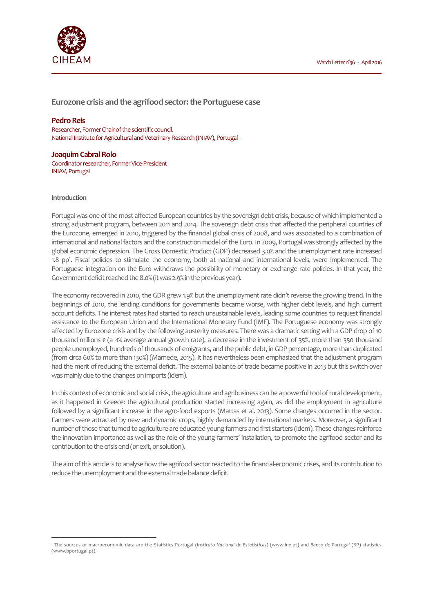



**Eurozone crisis and the agrifood sector: the Portuguese case**

# **Pedro Reis**

Researcher, Former Chair of the scientific council. National Institute for Agricultural and Veterinary Research (INIAV), Portugal

#### **Joaquim Cabral Rolo**

Coordinator researcher, Former Vice-President INIAV, Portugal

#### **Introduction**

 $\overline{a}$ 

Portugal was one of the most affected European countries by the sovereign debt crisis, because of which implemented a strong adjustment program, between 2011 and 2014. The sovereign debt crisis that affected the peripheral countries of the Eurozone, emerged in 2010, triggered by the financial global crisis of 2008, and was associated to a combination of international and national factors and the construction model of the Euro. In 2009, Portugal was strongly affected by the global economic depression. The Gross Domestic Product (GDP) decreased 3.0% and the unemployment rate increased 1.8 pp<sup>1</sup>. Fiscal policies to stimulate the economy, both at national and international levels, were implemented. The Portuguese integration on the Euro withdraws the possibility of monetary or exchange rate policies. In that year, the Government deficit reached the 8.0% (it was 2.9% in the previous year).

The economy recovered in 2010, the GDR grew 1.9% but the unemployment rate didn't reverse the growing trend. In the beginnings of 2010, the lending conditions for governments became worse, with higher debt levels, and high current account deficits. The interest rates had started to reach unsustainable levels, leading some countries to request financial assistance to the European Union and the International Monetary Fund (IMF). The Portuguese economy was strongly affected by Eurozone crisis and by the following austerity measures. There was a dramatic setting with a GDP drop of 10 thousand millions  $\epsilon$  (a -1% average annual growth rate), a decrease in the investment of 35%, more than 350 thousand people unemployed, hundreds of thousands of emigrants, and the public debt, in GDP percentage, more than duplicated (from circa 60% to more than 130%) (Mamede, 2015). It has nevertheless been emphasized that the adjustment program had the merit of reducing the external deficit. The external balance of trade became positive in 2013 but this switch-over was mainly due to the changes on imports (idem).

In this context of economic and social crisis, the agriculture and agribusiness can be a powerful tool of rural development, as it happened in Greece: the agricultural production started increasing again, as did the employment in agriculture followed by a significant increase in the agro-food exports (Mattas et al. 2013). Some changes occurred in the sector. Farmers were attracted by new and dynamic crops, highly demanded by international markets. Moreover, a significant number of those that turned to agriculture are educated young farmers and first starters (idem). These changes reinforce the innovation importance as well as the role of the young farmers' installation, to promote the agrifood sector and its contribution to the crisis end (or exit, or solution).

The aim of this article is to analyse how the agrifood sector reacted to the financial-economic crises, and its contribution to reduce the unemployment and the external trade balance deficit.

<sup>1</sup> The sources of macroeconomic data are the Statistics Portugal (*Instituto Nacional de Estatísticas*) (www.ine.pt) and *Banco de Portugal* (BP) statistics (www.bportugal.pt).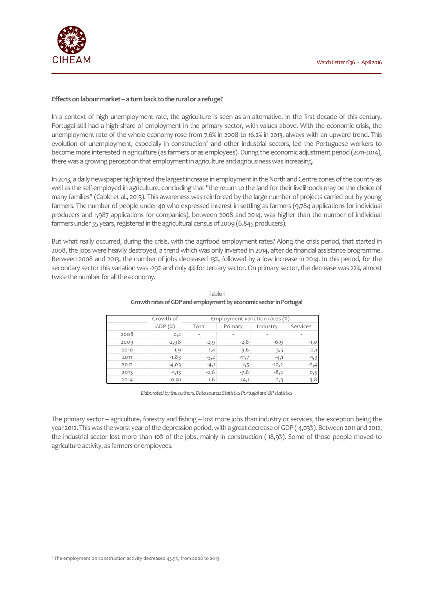

#### **Effects on labour market – a turn back to the rural or a refuge?**

In a context of high unemployment rate, the agriculture is seen as an alternative. In the first decade of this century, Portugal still had a high share of employment in the primary sector, with values above. With the economic crisis, the unemployment rate of the whole economy rose from 7.6% in 2008 to 16.2% in 2013, always with an upward trend. This evolution of unemployment, especially in construction<sup>2</sup> and other industrial sectors, led the Portuguese workers to become more interested in agriculture (as farmers or as employees). During the economic adjustment period (2011-2014), there was a growing perception that employment in agriculture and agribusiness was increasing.

In 2013, a daily newspaper highlighted the largest increase in employment in the North and Centre zones of the country as well as the self-employed in agriculture, concluding that "the return to the land for their livelihoods may be the choice of many families" (Cable et al., 2013). This awareness was reinforced by the large number of projects carried out by young farmers. The number of people under 40 who expressed interest in settling as farmers (9,784 applications for individual producers and 1,987 applications for companies), between 2008 and 2014, was higher than the number of individual farmers under 35 years, registered in the agricultural census of 2009 (6.845 producers).

But what really occurred, during the crisis, with the agrifood employment rates? Along the crisis period, that started in 2008, the jobs were heavily destroyed, a trend which was only inverted in 2014, after de financial assistance programme. Between 2008 and 2013, the number of jobs decreased 13%, followed by a low increase in 2014. In this period, for the secondary sector this variation was -29% and only 4% for tertiary sector. On primary sector, the decrease was 22%, almost twice the number for all the economy.

|      | Growth of | Employment variation rates (%) |         |          |          |
|------|-----------|--------------------------------|---------|----------|----------|
|      | GDP(%)    | Total                          | Primary | Industry | Services |
| 2008 | 0,2       | ٠                              | ۰       | ٠        |          |
| 2009 | $-2,98$   | $-2,9$                         | $-2,8$  | $-6,9$   | $-1,0$   |
| 2010 | 1,9       | $-1,4$                         | $-3,6$  | $-3,5$   | $-0,1$   |
| 2011 | $-1,83$   | $-3,2$                         | $-11,7$ | $-4,1$   | $-1,3$   |
| 2012 | $-4,03$   | $-4,1$                         | 1,5     | $-10,2$  | $-2,4$   |
| 2013 | $-1,13$   | $-2,6$                         | $-7,8$  | $-8,2$   | 0,5      |
| 2014 | 0,91      | 1,6                            | $-14,1$ | 2,3      | 3,8      |

Table 1 **Growth rates of GDP and employment by economic sector in Portugal** 

*Elaborated by the authors. Data source: Statistics Portugal and BP statistics*

The primary sector – agriculture, forestry and fishing – lost more jobs than industry or services, the exception being the year 2012. This was the worst year of the depression period, with a great decrease of GDP (-4,03%). Between 2011 and 2012, the industrial sector lost more than 10% of the jobs, mainly in construction (-18,9%). Some of those people moved to agriculture activity, as farmers or employees.

 $\overline{a}$ 

<sup>2</sup> The employment on construction activity decreased 43.5%, from 2008 to 2013.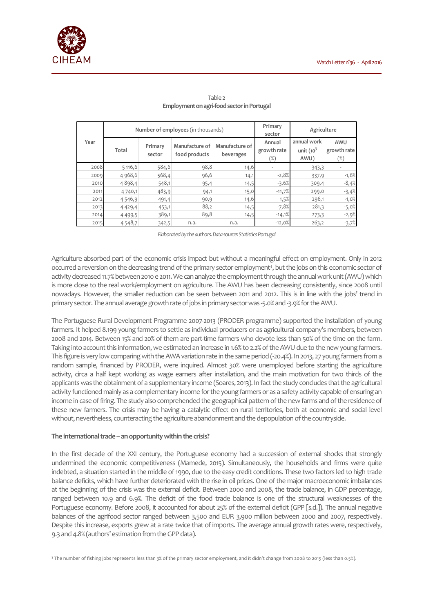

|      | Number of employees (in thousands) |                   |                                 |                             | Primary<br>Agriculture<br>sector |                                     |                           |
|------|------------------------------------|-------------------|---------------------------------|-----------------------------|----------------------------------|-------------------------------------|---------------------------|
| Year | Total                              | Primary<br>sector | Manufacture of<br>food products | Manufacture of<br>beverages | Annual<br>growth rate<br>(%)     | annual work<br>unit $(10^3$<br>AWU) | AWU<br>growth rate<br>(%) |
| 2008 | 5116,6                             | 584,6             | 98,8                            | 14,6                        |                                  | 343,3                               |                           |
| 2009 | 4 968,6                            | 568,4             | 96,6                            | 14,1                        | $-2,8%$                          | 337,9                               | $-1,6%$                   |
| 2010 | 4898,4                             | 548,1             | 95,4                            | 14,5                        | $-3,6%$                          | 309,4                               | $-8,4%$                   |
| 2011 | 4740,1                             | 483,9             | 94,1                            | 15,0                        | $-11,7%$                         | 299,0                               | $-3,4%$                   |
| 2012 | 4546,9                             | 491,4             | 90,9                            | 14,6                        | 1,5%                             | 296,1                               | $-1,0%$                   |
| 2013 | 4 4 2 9 , 4                        | 453,1             | 88,2                            | 14,5                        | $-7,8%$                          | 281,3                               | $-5,0%$                   |
| 2014 | 4 4 9 9 , 5                        | 389,1             | 89,8                            | 14,5                        | $-14,1%$                         | 273,3                               | $-2,9%$                   |
| 2015 | 4548,7                             | 342,5             | n.a.                            | n.a.                        | $-12,0%$                         | 263,2                               | $-3,7%$                   |

## Table 2 **Employment on agri-food sector in Portugal**

*Elaborated by the authors. Data source: Statistics Portugal* 

Agriculture absorbed part of the economic crisis impact but without a meaningful effect on employment. Only in 2012 occurred a reversion on the decreasing trend of the primary sector employment<sup>3</sup>, but the jobs on this economic sector of activity decreased 11.7% between 2010 e 2011. We can analyze the employment through the annual work unit (AWU) which is more close to the real work/employment on agriculture. The AWU has been decreasing consistently, since 2008 until nowadays. However, the smaller reduction can be seen between 2011 and 2012. This is in line with the jobs' trend in primary sector. The annual average growth rate of jobs in primary sector was -5.0% and -3.9% for the AWU.

The Portuguese Rural Development Programme 2007-2013 (PRODER programme) supported the installation of young farmers. It helped 8.199 young farmers to settle as individual producers or as agricultural company's members, between 2008 and 2014. Between 15% and 20% of them are part-time farmers who devote less than 50% of the time on the farm. Taking into account this information, we estimated an increase in 1.6% to 2.2% of the AWU due to the new young farmers. This figure is very low comparing with the AWA variation rate in the same period (-20.4%). In 2013, 27 young farmers from a random sample, financed by PRODER, were inquired. Almost 30% were unemployed before starting the agriculture activity, circa a half kept working as wage earners after installation, and the main motivation for two thirds of the applicants was the obtainment of a supplementary income (Soares, 2013). In fact the study concludes that the agricultural activity functioned mainly as a complementary income for the young farmers or as a safety activity capable of ensuring an income in case of firing. The study also comprehended the geographical pattern of the new farms and of the residence of these new farmers. The crisis may be having a catalytic effect on rural territories, both at economic and social level without, nevertheless, counteracting the agriculture abandonment and the depopulation of the countryside.

## **The international trade – an opportunity within the crisis?**

 $\overline{a}$ 

In the first decade of the XXI century, the Portuguese economy had a succession of external shocks that strongly undermined the economic competitiveness (Mamede, 2015). Simultaneously, the households and firms were quite indebted, a situation started in the middle of 1990, due to the easy credit conditions. These two factors led to high trade balance deficits, which have further deteriorated with the rise in oil prices. One of the major macroeconomic imbalances at the beginning of the crisis was the external deficit. Between 2000 and 2008, the trade balance, in GDP percentage, ranged between 10.9 and 6.9%. The deficit of the food trade balance is one of the structural weaknesses of the Portuguese economy. Before 2008, it accounted for about 25% of the external deficit (GPP [s.d.]). The annual negative balances of the agrifood sector ranged between 3,500 and EUR 3,900 million between 2000 and 2007, respectively. Despite this increase, exports grew at a rate twice that of imports. The average annual growth rates were, respectively, 9.3 and 4.8% (authors' estimation from the GPP data).

<sup>3</sup> The number of fishing jobs represents less than 3% of the primary sector employment, and it didn't change from 2008 to 2015 (less than 0.5%).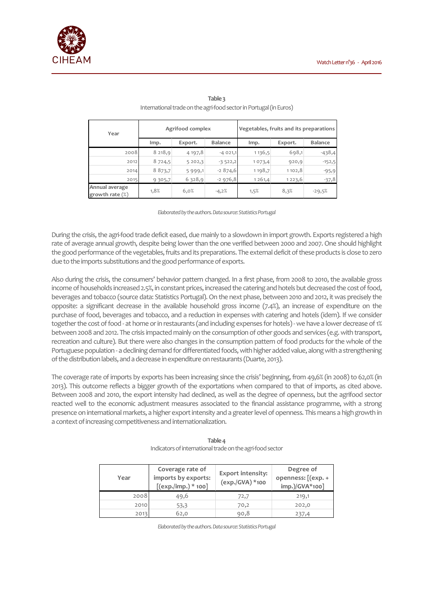

| Year                              | Agrifood complex |            |                | Vegetables, fruits and its preparations |         |                |
|-----------------------------------|------------------|------------|----------------|-----------------------------------------|---------|----------------|
|                                   | lmp.             | Export.    | <b>Balance</b> | lmp.                                    | Export. | <b>Balance</b> |
| 2008                              | 8218,9           | 4 197,8    | $-4021,1$      | 1136,5                                  | 698,1   | $-438,4$       |
| 2012                              | 8 724,5          | 5202,3     | $-3522,2$      | 1073,4                                  | 920,9   | $-152,5$       |
| 2014                              | 8 8 7 3 , 7      | 5 9 9 9, 1 | $-2874,6$      | 1198,7                                  | 1102,8  | $-95,9$        |
| 2015                              | 9 3 0 5,7        | 6,328,9    | $-2976,8$      | 1261,4                                  | 1223,6  | $-37,8$        |
| Annual average<br>growth rate (%) | 1,8%             | 6,0%       | $-4,2%$        | 1,5%                                    | 8,3%    | $-29,5%$       |

# **Table 3** International trade on the agri-food sector in Portugal (in Euros)

*Elaborated by the authors. Data source: Statistics Portugal* 

During the crisis, the agri-food trade deficit eased, due mainly to a slowdown in import growth. Exports registered a high rate of average annual growth, despite being lower than the one verified between 2000 and 2007. One should highlight the good performance of the vegetables, fruits and its preparations. The external deficit of these products is close to zero due to the imports substitutions and the good performance of exports.

Also during the crisis, the consumers' behavior pattern changed. In a first phase, from 2008 to 2010, the available gross income of households increased 2.5%, in constant prices, increased the catering and hotels but decreased the cost of food, beverages and tobacco (source data: Statistics Portugal). On the next phase, between 2010 and 2012, it was precisely the opposite: a significant decrease in the available household gross income (7.4%), an increase of expenditure on the purchase of food, beverages and tobacco, and a reduction in expenses with catering and hotels (idem). If we consider together the cost of food - at home or in restaurants (and including expenses for hotels) - we have a lower decrease of 1% between 2008 and 2012. The crisis impacted mainly on the consumption of other goods and services (e.g. with transport, recreation and culture). But there were also changes in the consumption pattern of food products for the whole of the Portuguese population - a declining demand for differentiated foods, with higher added value, along with a strengthening of the distribution labels, and a decrease in expenditure on restaurants (Duarte, 2013).

The coverage rate of imports by exports has been increasing since the crisis' beginning, from 49,6% (in 2008) to 62,0% (in 2013). This outcome reflects a bigger growth of the exportations when compared to that of imports, as cited above. Between 2008 and 2010, the export intensity had declined, as well as the degree of openness, but the agrifood sector reacted well to the economic adjustment measures associated to the financial assistance programme, with a strong presence on international markets, a higher export intensity and a greater level of openness. This means a high growth in a context of increasing competitiveness and internationalization.

| Year | Coverage rate of<br>imports by exports:<br>$[$ (exp./imp.) * 100] | <b>Export intensity:</b><br>(exp./GVA) *100 | Degree of<br>openness: [(exp. +<br>imp.)/GVA*100] |
|------|-------------------------------------------------------------------|---------------------------------------------|---------------------------------------------------|
| 2008 | 49,6                                                              | 72,7                                        | 219,1                                             |
| 2010 | 53,3                                                              | 70,2                                        | 202,0                                             |
| 2013 | 62.0                                                              | 90.8                                        | 237,4                                             |

#### **Table 4** Indicators of international trade on the agri-food sector

*Elaborated by the authors. Data source: Statistics Portugal*